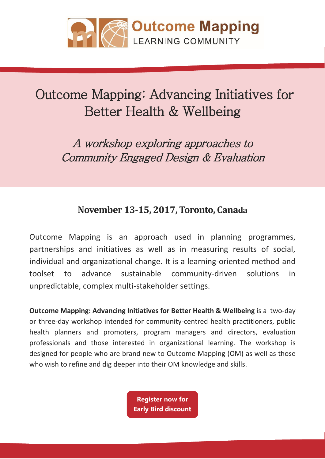

# Outcome Mapping: Advancing Initiatives for Better Health & Wellbeing

A workshop exploring approaches to Community Engaged Design & Evaluation

# **November 13-15, 2017, Toronto, Canada**

Outcome Mapping is an approach used in planning programmes, partnerships and initiatives as well as in measuring results of social, individual and organizational change. It is a learning-oriented method and toolset to advance sustainable community-driven solutions in unpredictable, complex multi-stakeholder settings.

**Outcome Mapping: Advancing Initiatives for Better Health & Wellbeing** is a two-day or three-day workshop intended for community-centred health practitioners, public health planners and promoters, program managers and directors, evaluation professionals and those interested in organizational learning. The workshop is designed for people who are brand new to Outcome Mapping (OM) as well as those who wish to refine and dig deeper into their OM knowledge and skills.

> **Register now for [Early Bird discount](https://outcome-mapping-toronto.eventbrite.co.uk?discount=om-early)**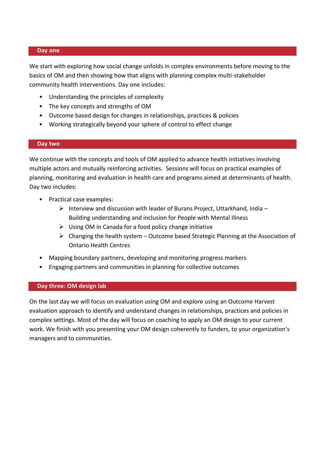# **Day one**

We start with exploring how social change unfolds in complex environments before moving to the basics of OM and then showing how that aligns with planning complex multi-stakeholder community health interventions. Day one includes:

- Understanding the principles of complexity
- The key concepts and strengths of OM
- Outcome based design for changes in relationships, practices & policies
- Working strategically beyond your sphere of control to effect change

# **Day two**

We continue with the concepts and tools of OM applied to advance health initiatives involving multiple actors and mutually reinforcing activities. Sessions will focus on practical examples of planning, monitoring and evaluation in health care and programs aimed at determinants of health. Day two includes:

- Practical case examples:
	- $\triangleright$  Interview and discussion with leader of Burans Project, Uttarkhand, India Building understanding and inclusion for People with Mental Illness
	- $\triangleright$  Using OM in Canada for a food policy change initiative
	- $\triangleright$  Changing the health system Outcome based Strategic Planning at the Association of Ontario Health Centres
- Mapping boundary partners, developing and monitoring progress markers
- Engaging partners and communities in planning for collective outcomes

# **Day three: OM design lab**

On the last day we will focus on evaluation using OM and explore using an Outcome Harvest evaluation approach to identify and understand changes in relationships, practices and policies in complex settings. Most of the day will focus on coaching to apply an OM design to your current work. We finish with you presenting your OM design coherently to funders, to your organization's managers and to communities.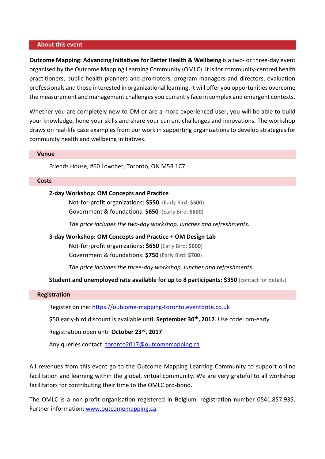# **About this event**

**Outcome Mapping: Advancing Initiatives for Better Health & Wellbeing** is a two- or three-day event organised by the Outcome Mapping Learning Community (OMLC). It is for community-centred health practitioners, public health planners and promoters, program managers and directors, evaluation professionals and those interested in organizational learning. It will offer you opportunities overcome the measurement and management challenges you currently face in complex and emergent contexts.

Whether you are completely new to OM or are a more experienced user, you will be able to build your knowledge, hone your skills and share your current challenges and innovations. The workshop draws on real-life case examples from our work in supporting organizations to develop strategies for community health and wellbeing initiatives.

# **Venue**

Friends House, #60 Lowther, Toronto, ON M5R 1C7

#### **Costs**

# **2-day Workshop: OM Concepts and Practice**

Not-for-profit organizations: **\$550** (Early Bird: **\$500**) Government & foundations: **\$650** (Early Bird: **\$600**)

*The price includes the two-day workshop, lunches and refreshments.* 

# **3-day Workshop: OM Concepts and Practice + OM Design Lab**

Not-for-profit organizations: **\$650** (Early Bird: **\$600**) Government & foundations: **\$750** (Early Bird: **\$700**)

*The price includes the three-day workshop, lunches and refreshments.* 

# **Student and unemployed rate available for up to 8 participants: \$350** (contact for details)

# **Registration**

Register online: [https://outcome-mapping-toronto.eventbrite.co.uk](https://outcome-mapping-toronto.eventbrite.co.uk/?discount=om-early)

\$50 early-bird discount is available until **September 30th, 2017**. Use code: om-early

Registration open until **October 23rd, 2017**

Any queries contact: [toronto2017@outcomemapping.ca](mailto:toronto2017@outcomemapping.ca)

All revenues from this event go to the Outcome Mapping Learning Community to support online facilitation and learning within the global, virtual community. We are very grateful to all workshop facilitators for contributing their time to the OMLC pro-bono.

The OMLC is a non-profit organisation registered in Belgium, registration number 0541.857.935. Further information: [www.outcomemapping.ca.](http://www.outcomemapping.ca/)